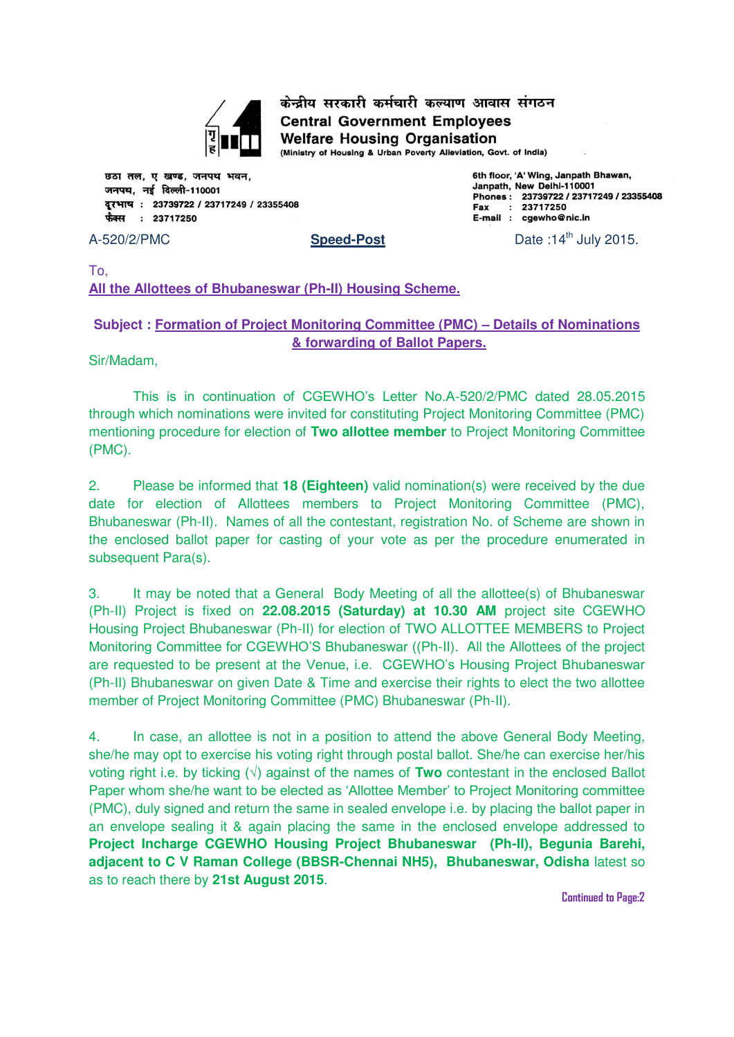

केन्द्रीय सरकारी कर्मचारी कल्याण आवास संगठन **Central Government Employees Welfare Housing Organisation** 

(Ministry of Housing & Urban Poverty Alleviation, Govt. of India)

छठा तल, ए खण्ड, जनपथ भवन, जनपथ. नई दिल्ली-110001 दरभाष: 23739722 / 23717249 / 23355408 फैक्स : 23717250

6th floor, 'A' Wing, Janpath Bhawan, Janpath, New Delhi-110001 Phones: 23739722 / 23717249 / 23355408  $: 23717250$ Fax E-mail : cgewho@nic.in

A-520/2/PMC **Speed-Post Speed-Post** Date :14<sup>th</sup> July 2015.

To, **All the Allottees of Bhubaneswar (Ph-II) Housing Scheme.** 

### **Subject : Formation of Project Monitoring Committee (PMC) – Details of Nominations & forwarding of Ballot Papers.**

Sir/Madam,

This is in continuation of CGEWHO's Letter No.A-520/2/PMC dated 28.05.2015 through which nominations were invited for constituting Project Monitoring Committee (PMC) mentioning procedure for election of **Two allottee member** to Project Monitoring Committee (PMC).

2. Please be informed that **18 (Eighteen)** valid nomination(s) were received by the due date for election of Allottees members to Project Monitoring Committee (PMC), Bhubaneswar (Ph-II). Names of all the contestant, registration No. of Scheme are shown in the enclosed ballot paper for casting of your vote as per the procedure enumerated in subsequent Para(s).

3. It may be noted that a General Body Meeting of all the allottee(s) of Bhubaneswar (Ph-II) Project is fixed on **22.08.2015 (Saturday) at 10.30 AM** project site CGEWHO Housing Project Bhubaneswar (Ph-II) for election of TWO ALLOTTEE MEMBERS to Project Monitoring Committee for CGEWHO'S Bhubaneswar ((Ph-II). All the Allottees of the project are requested to be present at the Venue, i.e. CGEWHO's Housing Project Bhubaneswar (Ph-II) Bhubaneswar on given Date & Time and exercise their rights to elect the two allottee member of Project Monitoring Committee (PMC) Bhubaneswar (Ph-II).

4. In case, an allottee is not in a position to attend the above General Body Meeting, she/he may opt to exercise his voting right through postal ballot. She/he can exercise her/his voting right i.e. by ticking (√) against of the names of **Two** contestant in the enclosed Ballot Paper whom she/he want to be elected as 'Allottee Member' to Project Monitoring committee (PMC), duly signed and return the same in sealed envelope i.e. by placing the ballot paper in an envelope sealing it & again placing the same in the enclosed envelope addressed to **Project Incharge CGEWHO Housing Project Bhubaneswar (Ph-II), Begunia Barehi, adjacent to C V Raman College (BBSR-Chennai NH5), Bhubaneswar, Odisha** latest so as to reach there by **21st August 2015**.

**Continued to Page:2**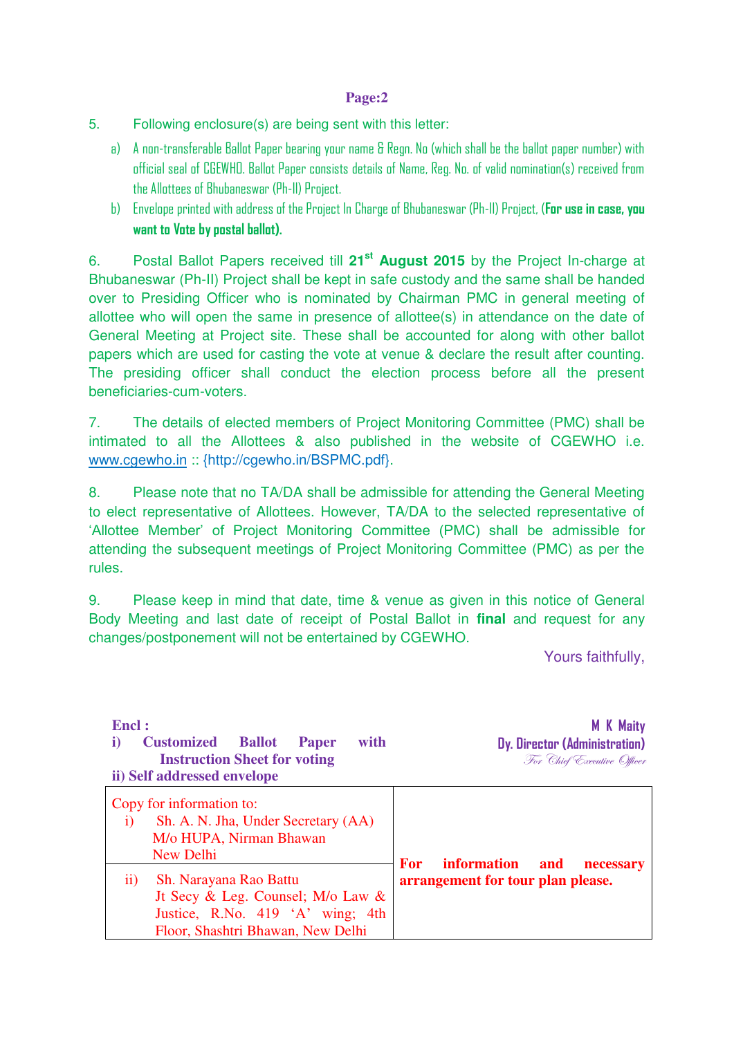#### **Page:2**

- 5. Following enclosure(s) are being sent with this letter:
	- a) A non-transferable Ballot Paper bearing your name & Regn. No (which shall be the ballot paper number) with official seal of CGEWHO. Ballot Paper consists details of Name, Reg. No. of valid nomination(s) received from the Allottees of Bhubaneswar (Ph-II) Project.
	- b) Envelope printed with address of the Project In Charge of Bhubaneswar (Ph-II) Project, (**For use in case, you want to Vote by postal ballot).**

6. Postal Ballot Papers received till **21st August 2015** by the Project In-charge at Bhubaneswar (Ph-II) Project shall be kept in safe custody and the same shall be handed over to Presiding Officer who is nominated by Chairman PMC in general meeting of allottee who will open the same in presence of allottee(s) in attendance on the date of General Meeting at Project site. These shall be accounted for along with other ballot papers which are used for casting the vote at venue & declare the result after counting. The presiding officer shall conduct the election process before all the present beneficiaries-cum-voters.

7. The details of elected members of Project Monitoring Committee (PMC) shall be intimated to all the Allottees & also published in the website of CGEWHO i.e. [www.cgewho.in](http://www.cgewho.in/) :: {http://cgewho.in/BSPMC.pdf}.

8. Please note that no TA/DA shall be admissible for attending the General Meeting to elect representative of Allottees. However, TA/DA to the selected representative of 'Allottee Member' of Project Monitoring Committee (PMC) shall be admissible for attending the subsequent meetings of Project Monitoring Committee (PMC) as per the rules.

9. Please keep in mind that date, time & venue as given in this notice of General Body Meeting and last date of receipt of Postal Ballot in **final** and request for any changes/postponement will not be entertained by CGEWHO.

Yours faithfully,

| Encl:<br><b>Customized</b><br><b>Ballot</b><br>with<br><b>Paper</b><br>i)<br><b>Instruction Sheet for voting</b><br>ii) Self addressed envelope | <b>M</b> K Maity<br>Dy. Director (Administration)<br>For Chief Executive Officer |
|-------------------------------------------------------------------------------------------------------------------------------------------------|----------------------------------------------------------------------------------|
| Copy for information to:<br>Sh. A. N. Jha, Under Secretary (AA)<br>$\bf{1)}$<br>M/o HUPA, Nirman Bhawan<br>New Delhi                            | <b>information</b><br><b>For</b>                                                 |
| Sh. Narayana Rao Battu<br>11)<br>Jt Secy & Leg. Counsel; M/o Law &<br>Justice, R.No. 419 'A' wing; 4th<br>Floor, Shashtri Bhawan, New Delhi     | and<br>necessary<br>arrangement for tour plan please.                            |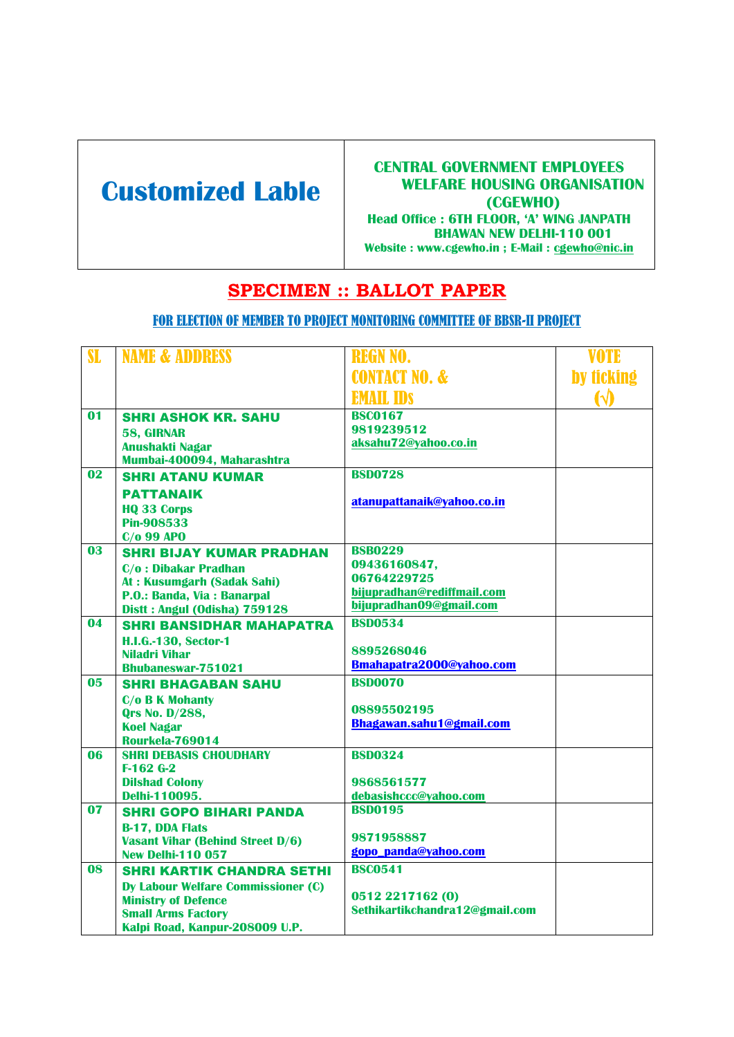# **Customized Lable**

#### **CENTRAL GOVERNMENT EMPLOYEES WELFARE HOUSING ORGANISATION (CGEWHO) Head Office : 6TH FLOOR, 'A' WING JANPATH BHAWAN NEW DELHI-110 001 Website : www.cgewho.in ; E-Mail : [cgewho@nic.in](mailto:cgewho@nic.in)**

# **SPECIMEN :: BALLOT PAPER**

### FOR ELECTION OF MEMBER TO PROJECT MONITORING COMMITTEE OF BBSR-II PROJECT

| SL              | <b>NAME &amp; ADDRESS</b>                               | <b>REGN NO.</b>                                       | VOTE                  |
|-----------------|---------------------------------------------------------|-------------------------------------------------------|-----------------------|
|                 |                                                         | <b>CONTACT NO. &amp;</b>                              | by ticking            |
|                 |                                                         | <b>EMAIL IDS</b>                                      | $\boldsymbol{\omega}$ |
| $\overline{01}$ | <b>SHRI ASHOK KR. SAHU</b>                              | <b>BSC0167</b>                                        |                       |
|                 | 58, GIRNAR                                              | 9819239512                                            |                       |
|                 | <b>Anushakti Nagar</b>                                  | aksahu72@yahoo.co.in                                  |                       |
| $\overline{02}$ | Mumbai-400094, Maharashtra<br><b>SHRI ATANU KUMAR</b>   | <b>BSD0728</b>                                        |                       |
|                 |                                                         |                                                       |                       |
|                 | <b>PATTANAIK</b>                                        | atanupattanaik@yahoo.co.in                            |                       |
|                 | <b>HQ 33 Corps</b><br><b>Pin-908533</b>                 |                                                       |                       |
|                 | $C/O$ 99 APO                                            |                                                       |                       |
| 03              | <b>SHRI BIJAY KUMAR PRADHAN</b>                         | <b>BSB0229</b>                                        |                       |
|                 | <b>C/o: Dibakar Pradhan</b>                             | 09436160847,                                          |                       |
|                 | At: Kusumgarh (Sadak Sahi)                              | 06764229725                                           |                       |
|                 | P.O.: Banda, Via: Banarpal                              | bijupradhan@rediffmail.com<br>bijupradhan09@gmail.com |                       |
|                 | Distt: Angul (Odisha) 759128                            |                                                       |                       |
| 04              | <b>SHRI BANSIDHAR MAHAPATRA</b>                         | <b>BSD0534</b>                                        |                       |
|                 | <b>H.I.G.-130, Sector-1</b>                             | 8895268046                                            |                       |
|                 | <b>Niladri Vihar</b><br><b>Bhubaneswar-751021</b>       | Bmahapatra2000@yahoo.com                              |                       |
| 0 <sub>5</sub>  | <b>SHRI BHAGABAN SAHU</b>                               | <b>BSD0070</b>                                        |                       |
|                 | <b>C/o B K Mohanty</b>                                  |                                                       |                       |
|                 | <b>Qrs No. D/288,</b>                                   | 08895502195                                           |                       |
|                 | <b>Koel Nagar</b>                                       | Bhagawan.sahu1@gmail.com                              |                       |
|                 | <b>Rourkela-769014</b>                                  |                                                       |                       |
| 06              | <b>SHRI DEBASIS CHOUDHARY</b><br>$F-162G-2$             | <b>BSD0324</b>                                        |                       |
|                 | <b>Dilshad Colony</b>                                   | 9868561577                                            |                       |
|                 | Delhi-110095.                                           | debasishccc@yahoo.com                                 |                       |
| 07              | <b>SHRI GOPO BIHARI PANDA</b>                           | <b>BSD0195</b>                                        |                       |
|                 | <b>B-17, DDA Flats</b>                                  |                                                       |                       |
|                 | <b>Vasant Vihar (Behind Street D/6)</b>                 | 9871958887                                            |                       |
|                 | <b>New Delhi-110 057</b>                                | gopo_panda@yahoo.com                                  |                       |
| 08              | <b>SHRI KARTIK CHANDRA SETHI</b>                        | <b>BSC0541</b>                                        |                       |
|                 | <b>Dy Labour Welfare Commissioner (C)</b>               | 0512 2217162 (0)                                      |                       |
|                 | <b>Ministry of Defence</b><br><b>Small Arms Factory</b> | Sethikartikchandra12@gmail.com                        |                       |
|                 | Kalpi Road, Kanpur-208009 U.P.                          |                                                       |                       |
|                 |                                                         |                                                       |                       |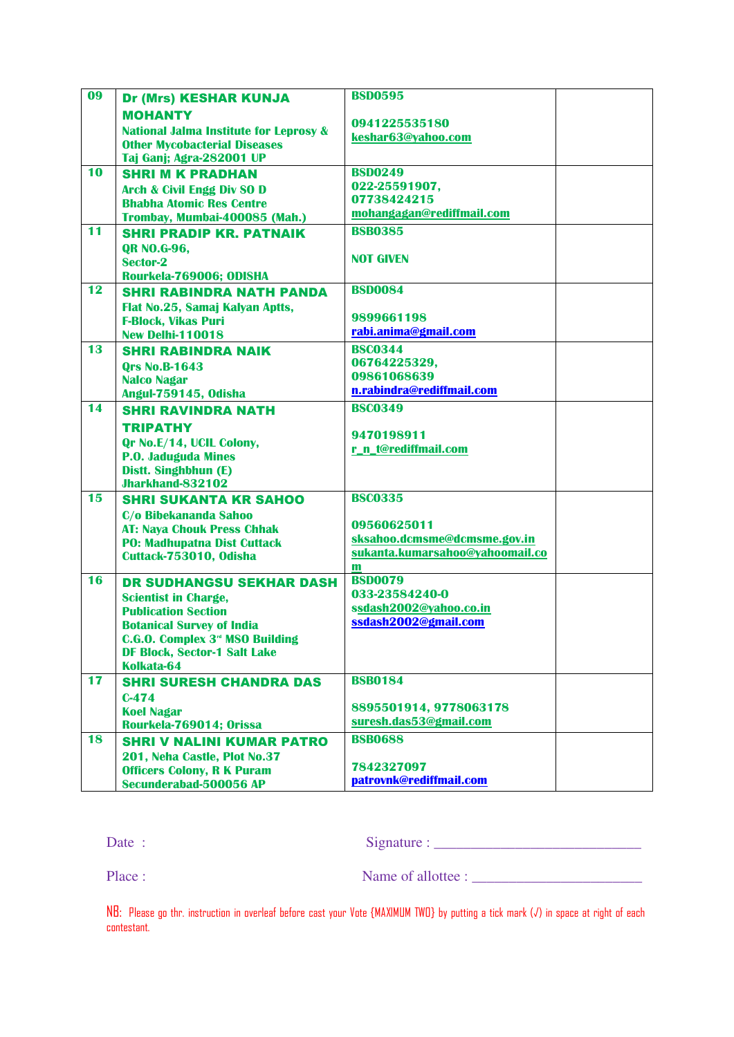| <b>MOHANTY</b><br>0941225535180<br><b>National Jalma Institute for Leprosy &amp;</b><br>keshar63@yahoo.com<br><b>Other Mycobacterial Diseases</b><br>Taj Ganj; Agra-282001 UP<br>10<br><b>BSD0249</b><br><b>SHRI M K PRADHAN</b><br>022-25591907,<br><b>Arch &amp; Civil Engg Div SO D</b><br>07738424215<br><b>Bhabha Atomic Res Centre</b><br>mohangagan@rediffmail.com<br>Trombay, Mumbai-400085 (Mah.)<br>11<br><b>BSB0385</b><br><b>SHRI PRADIP KR. PATNAIK</b><br><b>QR NO.G-96,</b><br><b>NOT GIVEN</b><br>Sector-2<br>Rourkela-769006; ODISHA<br>12<br><b>BSD0084</b><br><b>SHRI RABINDRA NATH PANDA</b><br>Flat No.25, Samaj Kalyan Aptts,<br>9899661198<br><b>F-Block, Vikas Puri</b><br>rabi.anima@gmail.com<br><b>New Delhi-110018</b><br><b>BSC0344</b><br>13<br><b>SHRI RABINDRA NAIK</b><br>06764225329,<br><b>Qrs No.B-1643</b><br>09861068639<br><b>Nalco Nagar</b><br>n.rabindra@rediffmail.com<br>Angul-759145, Odisha<br>14<br><b>BSC0349</b><br><b>SHRI RAVINDRA NATH</b><br><b>TRIPATHY</b><br>9470198911<br>Qr No.E/14, UCIL Colony,<br>r_n_t@rediffmail.com<br><b>P.O. Jaduguda Mines</b><br>Distt. Singhbhun (E)<br><b>Jharkhand-832102</b><br>15<br><b>BSC0335</b><br><b>SHRI SUKANTA KR SAHOO</b><br>C/o Bibekananda Sahoo<br>09560625011<br><b>AT: Naya Chouk Press Chhak</b><br>sksahoo.dcmsme@dcmsme.gov.in<br><b>PO: Madhupatna Dist Cuttack</b><br>sukanta.kumarsahoo@yahoomail.co<br>Cuttack-753010, Odisha<br>$\mathbf{m}$<br><b>BSD0079</b><br>16<br><b>DR SUDHANGSU SEKHAR DASH</b><br>033-23584240-0<br><b>Scientist in Charge,</b><br>ssdash2002@yahoo.co.in<br><b>Publication Section</b><br>ssdash2002@gmail.com<br><b>Botanical Survey of India</b><br><b>C.G.O. Complex 3<sup>rd</sup> MSO Building</b><br><b>DF Block, Sector-1 Salt Lake</b><br>Kolkata-64<br>17<br><b>BSB0184</b><br><b>SHRI SURESH CHANDRA DAS</b><br>$C-474$<br>8895501914, 9778063178<br><b>Koel Nagar</b><br>suresh.das53@gmail.com<br>Rourkela-769014; Orissa<br>18<br><b>BSB0688</b><br><b>SHRI V NALINI KUMAR PATRO</b> | 09 | <b>Dr (Mrs) KESHAR KUNJA</b> | <b>BSD0595</b> |  |
|---------------------------------------------------------------------------------------------------------------------------------------------------------------------------------------------------------------------------------------------------------------------------------------------------------------------------------------------------------------------------------------------------------------------------------------------------------------------------------------------------------------------------------------------------------------------------------------------------------------------------------------------------------------------------------------------------------------------------------------------------------------------------------------------------------------------------------------------------------------------------------------------------------------------------------------------------------------------------------------------------------------------------------------------------------------------------------------------------------------------------------------------------------------------------------------------------------------------------------------------------------------------------------------------------------------------------------------------------------------------------------------------------------------------------------------------------------------------------------------------------------------------------------------------------------------------------------------------------------------------------------------------------------------------------------------------------------------------------------------------------------------------------------------------------------------------------------------------------------------------------------------------------------------------------------------------------------------------------------------------------------------------------------------------|----|------------------------------|----------------|--|
|                                                                                                                                                                                                                                                                                                                                                                                                                                                                                                                                                                                                                                                                                                                                                                                                                                                                                                                                                                                                                                                                                                                                                                                                                                                                                                                                                                                                                                                                                                                                                                                                                                                                                                                                                                                                                                                                                                                                                                                                                                             |    |                              |                |  |
|                                                                                                                                                                                                                                                                                                                                                                                                                                                                                                                                                                                                                                                                                                                                                                                                                                                                                                                                                                                                                                                                                                                                                                                                                                                                                                                                                                                                                                                                                                                                                                                                                                                                                                                                                                                                                                                                                                                                                                                                                                             |    |                              |                |  |
|                                                                                                                                                                                                                                                                                                                                                                                                                                                                                                                                                                                                                                                                                                                                                                                                                                                                                                                                                                                                                                                                                                                                                                                                                                                                                                                                                                                                                                                                                                                                                                                                                                                                                                                                                                                                                                                                                                                                                                                                                                             |    |                              |                |  |
|                                                                                                                                                                                                                                                                                                                                                                                                                                                                                                                                                                                                                                                                                                                                                                                                                                                                                                                                                                                                                                                                                                                                                                                                                                                                                                                                                                                                                                                                                                                                                                                                                                                                                                                                                                                                                                                                                                                                                                                                                                             |    |                              |                |  |
|                                                                                                                                                                                                                                                                                                                                                                                                                                                                                                                                                                                                                                                                                                                                                                                                                                                                                                                                                                                                                                                                                                                                                                                                                                                                                                                                                                                                                                                                                                                                                                                                                                                                                                                                                                                                                                                                                                                                                                                                                                             |    |                              |                |  |
|                                                                                                                                                                                                                                                                                                                                                                                                                                                                                                                                                                                                                                                                                                                                                                                                                                                                                                                                                                                                                                                                                                                                                                                                                                                                                                                                                                                                                                                                                                                                                                                                                                                                                                                                                                                                                                                                                                                                                                                                                                             |    |                              |                |  |
|                                                                                                                                                                                                                                                                                                                                                                                                                                                                                                                                                                                                                                                                                                                                                                                                                                                                                                                                                                                                                                                                                                                                                                                                                                                                                                                                                                                                                                                                                                                                                                                                                                                                                                                                                                                                                                                                                                                                                                                                                                             |    |                              |                |  |
|                                                                                                                                                                                                                                                                                                                                                                                                                                                                                                                                                                                                                                                                                                                                                                                                                                                                                                                                                                                                                                                                                                                                                                                                                                                                                                                                                                                                                                                                                                                                                                                                                                                                                                                                                                                                                                                                                                                                                                                                                                             |    |                              |                |  |
|                                                                                                                                                                                                                                                                                                                                                                                                                                                                                                                                                                                                                                                                                                                                                                                                                                                                                                                                                                                                                                                                                                                                                                                                                                                                                                                                                                                                                                                                                                                                                                                                                                                                                                                                                                                                                                                                                                                                                                                                                                             |    |                              |                |  |
|                                                                                                                                                                                                                                                                                                                                                                                                                                                                                                                                                                                                                                                                                                                                                                                                                                                                                                                                                                                                                                                                                                                                                                                                                                                                                                                                                                                                                                                                                                                                                                                                                                                                                                                                                                                                                                                                                                                                                                                                                                             |    |                              |                |  |
|                                                                                                                                                                                                                                                                                                                                                                                                                                                                                                                                                                                                                                                                                                                                                                                                                                                                                                                                                                                                                                                                                                                                                                                                                                                                                                                                                                                                                                                                                                                                                                                                                                                                                                                                                                                                                                                                                                                                                                                                                                             |    |                              |                |  |
|                                                                                                                                                                                                                                                                                                                                                                                                                                                                                                                                                                                                                                                                                                                                                                                                                                                                                                                                                                                                                                                                                                                                                                                                                                                                                                                                                                                                                                                                                                                                                                                                                                                                                                                                                                                                                                                                                                                                                                                                                                             |    |                              |                |  |
|                                                                                                                                                                                                                                                                                                                                                                                                                                                                                                                                                                                                                                                                                                                                                                                                                                                                                                                                                                                                                                                                                                                                                                                                                                                                                                                                                                                                                                                                                                                                                                                                                                                                                                                                                                                                                                                                                                                                                                                                                                             |    |                              |                |  |
|                                                                                                                                                                                                                                                                                                                                                                                                                                                                                                                                                                                                                                                                                                                                                                                                                                                                                                                                                                                                                                                                                                                                                                                                                                                                                                                                                                                                                                                                                                                                                                                                                                                                                                                                                                                                                                                                                                                                                                                                                                             |    |                              |                |  |
|                                                                                                                                                                                                                                                                                                                                                                                                                                                                                                                                                                                                                                                                                                                                                                                                                                                                                                                                                                                                                                                                                                                                                                                                                                                                                                                                                                                                                                                                                                                                                                                                                                                                                                                                                                                                                                                                                                                                                                                                                                             |    |                              |                |  |
|                                                                                                                                                                                                                                                                                                                                                                                                                                                                                                                                                                                                                                                                                                                                                                                                                                                                                                                                                                                                                                                                                                                                                                                                                                                                                                                                                                                                                                                                                                                                                                                                                                                                                                                                                                                                                                                                                                                                                                                                                                             |    |                              |                |  |
|                                                                                                                                                                                                                                                                                                                                                                                                                                                                                                                                                                                                                                                                                                                                                                                                                                                                                                                                                                                                                                                                                                                                                                                                                                                                                                                                                                                                                                                                                                                                                                                                                                                                                                                                                                                                                                                                                                                                                                                                                                             |    |                              |                |  |
|                                                                                                                                                                                                                                                                                                                                                                                                                                                                                                                                                                                                                                                                                                                                                                                                                                                                                                                                                                                                                                                                                                                                                                                                                                                                                                                                                                                                                                                                                                                                                                                                                                                                                                                                                                                                                                                                                                                                                                                                                                             |    |                              |                |  |
|                                                                                                                                                                                                                                                                                                                                                                                                                                                                                                                                                                                                                                                                                                                                                                                                                                                                                                                                                                                                                                                                                                                                                                                                                                                                                                                                                                                                                                                                                                                                                                                                                                                                                                                                                                                                                                                                                                                                                                                                                                             |    |                              |                |  |
|                                                                                                                                                                                                                                                                                                                                                                                                                                                                                                                                                                                                                                                                                                                                                                                                                                                                                                                                                                                                                                                                                                                                                                                                                                                                                                                                                                                                                                                                                                                                                                                                                                                                                                                                                                                                                                                                                                                                                                                                                                             |    |                              |                |  |
|                                                                                                                                                                                                                                                                                                                                                                                                                                                                                                                                                                                                                                                                                                                                                                                                                                                                                                                                                                                                                                                                                                                                                                                                                                                                                                                                                                                                                                                                                                                                                                                                                                                                                                                                                                                                                                                                                                                                                                                                                                             |    |                              |                |  |
|                                                                                                                                                                                                                                                                                                                                                                                                                                                                                                                                                                                                                                                                                                                                                                                                                                                                                                                                                                                                                                                                                                                                                                                                                                                                                                                                                                                                                                                                                                                                                                                                                                                                                                                                                                                                                                                                                                                                                                                                                                             |    |                              |                |  |
|                                                                                                                                                                                                                                                                                                                                                                                                                                                                                                                                                                                                                                                                                                                                                                                                                                                                                                                                                                                                                                                                                                                                                                                                                                                                                                                                                                                                                                                                                                                                                                                                                                                                                                                                                                                                                                                                                                                                                                                                                                             |    |                              |                |  |
|                                                                                                                                                                                                                                                                                                                                                                                                                                                                                                                                                                                                                                                                                                                                                                                                                                                                                                                                                                                                                                                                                                                                                                                                                                                                                                                                                                                                                                                                                                                                                                                                                                                                                                                                                                                                                                                                                                                                                                                                                                             |    |                              |                |  |
|                                                                                                                                                                                                                                                                                                                                                                                                                                                                                                                                                                                                                                                                                                                                                                                                                                                                                                                                                                                                                                                                                                                                                                                                                                                                                                                                                                                                                                                                                                                                                                                                                                                                                                                                                                                                                                                                                                                                                                                                                                             |    |                              |                |  |
|                                                                                                                                                                                                                                                                                                                                                                                                                                                                                                                                                                                                                                                                                                                                                                                                                                                                                                                                                                                                                                                                                                                                                                                                                                                                                                                                                                                                                                                                                                                                                                                                                                                                                                                                                                                                                                                                                                                                                                                                                                             |    |                              |                |  |
|                                                                                                                                                                                                                                                                                                                                                                                                                                                                                                                                                                                                                                                                                                                                                                                                                                                                                                                                                                                                                                                                                                                                                                                                                                                                                                                                                                                                                                                                                                                                                                                                                                                                                                                                                                                                                                                                                                                                                                                                                                             |    |                              |                |  |
|                                                                                                                                                                                                                                                                                                                                                                                                                                                                                                                                                                                                                                                                                                                                                                                                                                                                                                                                                                                                                                                                                                                                                                                                                                                                                                                                                                                                                                                                                                                                                                                                                                                                                                                                                                                                                                                                                                                                                                                                                                             |    |                              |                |  |
|                                                                                                                                                                                                                                                                                                                                                                                                                                                                                                                                                                                                                                                                                                                                                                                                                                                                                                                                                                                                                                                                                                                                                                                                                                                                                                                                                                                                                                                                                                                                                                                                                                                                                                                                                                                                                                                                                                                                                                                                                                             |    |                              |                |  |
|                                                                                                                                                                                                                                                                                                                                                                                                                                                                                                                                                                                                                                                                                                                                                                                                                                                                                                                                                                                                                                                                                                                                                                                                                                                                                                                                                                                                                                                                                                                                                                                                                                                                                                                                                                                                                                                                                                                                                                                                                                             |    |                              |                |  |
|                                                                                                                                                                                                                                                                                                                                                                                                                                                                                                                                                                                                                                                                                                                                                                                                                                                                                                                                                                                                                                                                                                                                                                                                                                                                                                                                                                                                                                                                                                                                                                                                                                                                                                                                                                                                                                                                                                                                                                                                                                             |    |                              |                |  |
|                                                                                                                                                                                                                                                                                                                                                                                                                                                                                                                                                                                                                                                                                                                                                                                                                                                                                                                                                                                                                                                                                                                                                                                                                                                                                                                                                                                                                                                                                                                                                                                                                                                                                                                                                                                                                                                                                                                                                                                                                                             |    |                              |                |  |
|                                                                                                                                                                                                                                                                                                                                                                                                                                                                                                                                                                                                                                                                                                                                                                                                                                                                                                                                                                                                                                                                                                                                                                                                                                                                                                                                                                                                                                                                                                                                                                                                                                                                                                                                                                                                                                                                                                                                                                                                                                             |    |                              |                |  |
|                                                                                                                                                                                                                                                                                                                                                                                                                                                                                                                                                                                                                                                                                                                                                                                                                                                                                                                                                                                                                                                                                                                                                                                                                                                                                                                                                                                                                                                                                                                                                                                                                                                                                                                                                                                                                                                                                                                                                                                                                                             |    |                              |                |  |
|                                                                                                                                                                                                                                                                                                                                                                                                                                                                                                                                                                                                                                                                                                                                                                                                                                                                                                                                                                                                                                                                                                                                                                                                                                                                                                                                                                                                                                                                                                                                                                                                                                                                                                                                                                                                                                                                                                                                                                                                                                             |    |                              |                |  |
|                                                                                                                                                                                                                                                                                                                                                                                                                                                                                                                                                                                                                                                                                                                                                                                                                                                                                                                                                                                                                                                                                                                                                                                                                                                                                                                                                                                                                                                                                                                                                                                                                                                                                                                                                                                                                                                                                                                                                                                                                                             |    |                              |                |  |
|                                                                                                                                                                                                                                                                                                                                                                                                                                                                                                                                                                                                                                                                                                                                                                                                                                                                                                                                                                                                                                                                                                                                                                                                                                                                                                                                                                                                                                                                                                                                                                                                                                                                                                                                                                                                                                                                                                                                                                                                                                             |    |                              |                |  |
|                                                                                                                                                                                                                                                                                                                                                                                                                                                                                                                                                                                                                                                                                                                                                                                                                                                                                                                                                                                                                                                                                                                                                                                                                                                                                                                                                                                                                                                                                                                                                                                                                                                                                                                                                                                                                                                                                                                                                                                                                                             |    |                              |                |  |
|                                                                                                                                                                                                                                                                                                                                                                                                                                                                                                                                                                                                                                                                                                                                                                                                                                                                                                                                                                                                                                                                                                                                                                                                                                                                                                                                                                                                                                                                                                                                                                                                                                                                                                                                                                                                                                                                                                                                                                                                                                             |    |                              |                |  |
|                                                                                                                                                                                                                                                                                                                                                                                                                                                                                                                                                                                                                                                                                                                                                                                                                                                                                                                                                                                                                                                                                                                                                                                                                                                                                                                                                                                                                                                                                                                                                                                                                                                                                                                                                                                                                                                                                                                                                                                                                                             |    |                              |                |  |
|                                                                                                                                                                                                                                                                                                                                                                                                                                                                                                                                                                                                                                                                                                                                                                                                                                                                                                                                                                                                                                                                                                                                                                                                                                                                                                                                                                                                                                                                                                                                                                                                                                                                                                                                                                                                                                                                                                                                                                                                                                             |    |                              |                |  |
|                                                                                                                                                                                                                                                                                                                                                                                                                                                                                                                                                                                                                                                                                                                                                                                                                                                                                                                                                                                                                                                                                                                                                                                                                                                                                                                                                                                                                                                                                                                                                                                                                                                                                                                                                                                                                                                                                                                                                                                                                                             |    |                              |                |  |
|                                                                                                                                                                                                                                                                                                                                                                                                                                                                                                                                                                                                                                                                                                                                                                                                                                                                                                                                                                                                                                                                                                                                                                                                                                                                                                                                                                                                                                                                                                                                                                                                                                                                                                                                                                                                                                                                                                                                                                                                                                             |    |                              |                |  |
|                                                                                                                                                                                                                                                                                                                                                                                                                                                                                                                                                                                                                                                                                                                                                                                                                                                                                                                                                                                                                                                                                                                                                                                                                                                                                                                                                                                                                                                                                                                                                                                                                                                                                                                                                                                                                                                                                                                                                                                                                                             |    | 201, Neha Castle, Plot No.37 |                |  |
| 7842327097<br><b>Officers Colony, R K Puram</b>                                                                                                                                                                                                                                                                                                                                                                                                                                                                                                                                                                                                                                                                                                                                                                                                                                                                                                                                                                                                                                                                                                                                                                                                                                                                                                                                                                                                                                                                                                                                                                                                                                                                                                                                                                                                                                                                                                                                                                                             |    |                              |                |  |
| patrovnk@rediffmail.com<br>Secunderabad-500056 AP                                                                                                                                                                                                                                                                                                                                                                                                                                                                                                                                                                                                                                                                                                                                                                                                                                                                                                                                                                                                                                                                                                                                                                                                                                                                                                                                                                                                                                                                                                                                                                                                                                                                                                                                                                                                                                                                                                                                                                                           |    |                              |                |  |

Date : Signature : \_\_\_\_\_\_\_\_\_\_\_\_\_\_\_\_\_\_\_\_\_\_\_\_\_\_\_\_

Place : Name of allottee : \_\_\_\_\_\_\_\_\_\_\_\_\_\_\_\_\_\_\_\_\_\_\_

NB: Please go thr. instruction in overleaf before cast your Vote {MAXIMUM TWO} by putting a tick mark (√) in space at right of each contestant.